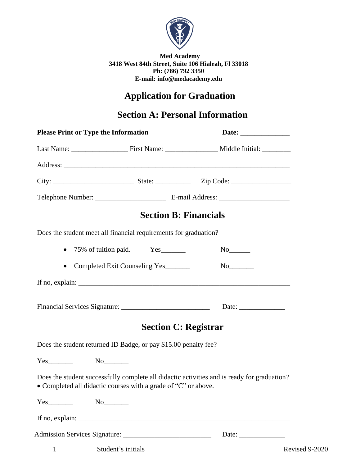

**Med Academy 3418 West 84th Street, Suite 106 Hialeah, Fl 33018 Ph: (786) 792 3350 E-mail: info@medacademy.edu**

# **Application for Graduation**

## **Section A: Personal Information**

| <b>Please Print or Type the Information</b> |                                                                  |                                                                                             |
|---------------------------------------------|------------------------------------------------------------------|---------------------------------------------------------------------------------------------|
|                                             |                                                                  |                                                                                             |
|                                             |                                                                  |                                                                                             |
|                                             |                                                                  |                                                                                             |
|                                             |                                                                  |                                                                                             |
|                                             |                                                                  | <b>Section B: Financials</b>                                                                |
|                                             | Does the student meet all financial requirements for graduation? |                                                                                             |
|                                             | • 75% of tuition paid. Yes                                       | $No$ <sub>_________</sub>                                                                   |
| $\bullet$                                   | Completed Exit Counseling Yes                                    |                                                                                             |
|                                             |                                                                  | If no, explain: $\sqrt{\frac{2}{n}}$                                                        |
|                                             |                                                                  | Date: $\frac{1}{\sqrt{1-\frac{1}{2}} \cdot \frac{1}{2}}$                                    |
|                                             |                                                                  | <b>Section C: Registrar</b>                                                                 |
|                                             | Does the student returned ID Badge, or pay \$15.00 penalty fee?  |                                                                                             |
|                                             |                                                                  |                                                                                             |
|                                             | • Completed all didactic courses with a grade of "C" or above.   | Does the student successfully complete all didactic activities and is ready for graduation? |
| $Yes$ No $No$                               |                                                                  |                                                                                             |
|                                             | If no, explain: $\sqrt{\frac{2}{n}}$                             |                                                                                             |
|                                             |                                                                  |                                                                                             |
| $\mathbf{1}$                                |                                                                  | Revised 9-2020                                                                              |